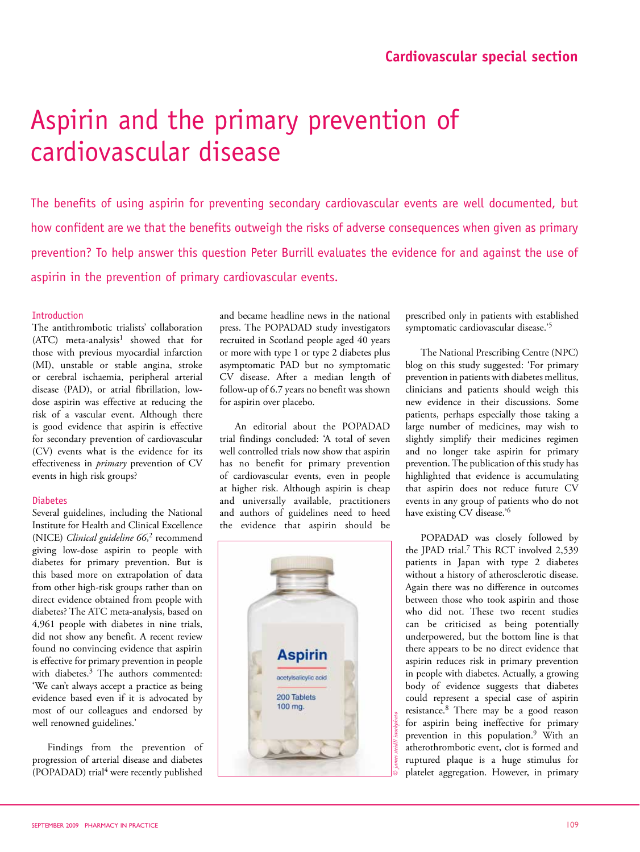# Aspirin and the primary prevention of cardiovascular disease

The benefits of using aspirin for preventing secondary cardiovascular events are well documented, but how confident are we that the benefits outweigh the risks of adverse consequences when given as primary prevention? To help answer this question Peter Burrill evaluates the evidence for and against the use of aspirin in the prevention of primary cardiovascular events.

# Introduction

The antithrombotic trialists' collaboration  $(ATC)$  meta-analysis<sup>1</sup> showed that for those with previous myocardial infarction (MI), unstable or stable angina, stroke or cerebral ischaemia, peripheral arterial disease (PAD), or atrial fibrillation, lowdose aspirin was effective at reducing the risk of a vascular event. Although there is good evidence that aspirin is effective for secondary prevention of cardiovascular (CV) events what is the evidence for its effectiveness in *primary* prevention of CV events in high risk groups?

# Diabetes

Several guidelines, including the National Institute for Health and Clinical Excellence (NICE) *Clinical guideline 66*, 2 recommend giving low-dose aspirin to people with diabetes for primary prevention. But is this based more on extrapolation of data from other high-risk groups rather than on direct evidence obtained from people with diabetes? The ATC meta-analysis, based on 4,961 people with diabetes in nine trials, did not show any benefit. A recent review found no convincing evidence that aspirin is effective for primary prevention in people with diabetes.<sup>3</sup> The authors commented: 'We can't always accept a practice as being evidence based even if it is advocated by most of our colleagues and endorsed by well renowned guidelines.'

Findings from the prevention of progression of arterial disease and diabetes (POPADAD) trial<sup>4</sup> were recently published

and became headline news in the national press. The POPADAD study investigators recruited in Scotland people aged 40 years or more with type 1 or type 2 diabetes plus asymptomatic PAD but no symptomatic CV disease. After a median length of follow-up of 6.7 years no benefit was shown for aspirin over placebo.

An editorial about the POPADAD trial findings concluded: 'A total of seven well controlled trials now show that aspirin has no benefit for primary prevention of cardiovascular events, even in people at higher risk. Although aspirin is cheap and universally available, practitioners and authors of guidelines need to heed the evidence that aspirin should be



prescribed only in patients with established symptomatic cardiovascular disease.'5

The National Prescribing Centre (NPC) blog on this study suggested: 'For primary prevention in patients with diabetes mellitus, clinicians and patients should weigh this new evidence in their discussions. Some patients, perhaps especially those taking a large number of medicines, may wish to slightly simplify their medicines regimen and no longer take aspirin for primary prevention. The publication of this study has highlighted that evidence is accumulating that aspirin does not reduce future CV events in any group of patients who do not have existing CV disease.'<sup>6</sup>

POPADAD was closely followed by the JPAD trial.<sup>7</sup> This RCT involved 2,539 patients in Japan with type 2 diabetes without a history of atherosclerotic disease. Again there was no difference in outcomes between those who took aspirin and those who did not. These two recent studies can be criticised as being potentially underpowered, but the bottom line is that there appears to be no direct evidence that aspirin reduces risk in primary prevention in people with diabetes. Actually, a growing body of evidence suggests that diabetes could represent a special case of aspirin resistance.<sup>8</sup> There may be a good reason for aspirin being ineffective for primary prevention in this population.9 With an atherothrombotic event, clot is formed and ruptured plaque is a huge stimulus for platelet aggregation. However, in primary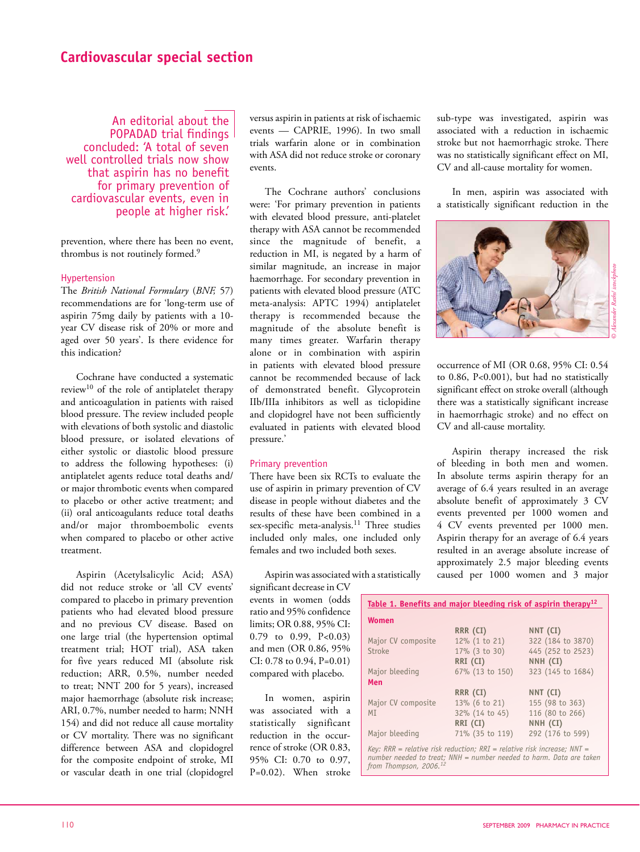# **Cardiovascular special section**

An editorial about the POPADAD trial findings concluded: 'A total of seven well controlled trials now show that aspirin has no benefit for primary prevention of cardiovascular events, even in people at higher risk.'

prevention, where there has been no event, thrombus is not routinely formed.<sup>9</sup>

#### Hypertension

The *British National Formulary* (*BNF,* 57) recommendations are for 'long-term use of aspirin 75mg daily by patients with a 10 year CV disease risk of 20% or more and aged over 50 years'. Is there evidence for this indication?

Cochrane have conducted a systematic review10 of the role of antiplatelet therapy and anticoagulation in patients with raised blood pressure. The review included people with elevations of both systolic and diastolic blood pressure, or isolated elevations of either systolic or diastolic blood pressure to address the following hypotheses: (i) antiplatelet agents reduce total deaths and/ or major thrombotic events when compared to placebo or other active treatment; and (ii) oral anticoagulants reduce total deaths and/or major thromboembolic events when compared to placebo or other active treatment.

Aspirin (Acetylsalicylic Acid; ASA) did not reduce stroke or 'all CV events' compared to placebo in primary prevention patients who had elevated blood pressure and no previous CV disease. Based on one large trial (the hypertension optimal treatment trial; HOT trial), ASA taken for five years reduced MI (absolute risk reduction; ARR, 0.5%, number needed to treat; NNT 200 for 5 years), increased major haemorrhage (absolute risk increase; ARI, 0.7%, number needed to harm; NNH 154) and did not reduce all cause mortality or CV mortality. There was no significant difference between ASA and clopidogrel for the composite endpoint of stroke, MI or vascular death in one trial (clopidogrel

versus aspirin in patients at risk of ischaemic events — CAPRIE, 1996). In two small trials warfarin alone or in combination with ASA did not reduce stroke or coronary events.

The Cochrane authors' conclusions were: 'For primary prevention in patients with elevated blood pressure, anti-platelet therapy with ASA cannot be recommended since the magnitude of benefit, a reduction in MI, is negated by a harm of similar magnitude, an increase in major haemorrhage. For secondary prevention in patients with elevated blood pressure (ATC meta-analysis: APTC 1994) antiplatelet therapy is recommended because the magnitude of the absolute benefit is many times greater. Warfarin therapy alone or in combination with aspirin in patients with elevated blood pressure cannot be recommended because of lack of demonstrated benefit. Glycoprotein IIb/IIIa inhibitors as well as ticlopidine and clopidogrel have not been sufficiently evaluated in patients with elevated blood pressure.'

#### Primary prevention

There have been six RCTs to evaluate the use of aspirin in primary prevention of CV disease in people without diabetes and the results of these have been combined in a sex-specific meta-analysis.<sup>11</sup> Three studies included only males, one included only females and two included both sexes.

Aspirin was associated with a statistically

significant decrease in CV events in women (odds ratio and 95% confidence limits; OR 0.88, 95% CI: 0.79 to 0.99, P<0.03) and men (OR 0.86, 95% CI: 0.78 to 0.94, P=0.01) compared with placebo.

In women, aspirin was associated with a statistically significant reduction in the occurrence of stroke (OR 0.83, 95% CI: 0.70 to 0.97, P=0.02). When stroke sub-type was investigated, aspirin was associated with a reduction in ischaemic stroke but not haemorrhagic stroke. There was no statistically significant effect on MI, CV and all-cause mortality for women.

In men, aspirin was associated with a statistically significant reduction in the



occurrence of MI (OR 0.68, 95% CI: 0.54 to 0.86, P<0.001), but had no statistically significant effect on stroke overall (although there was a statistically significant increase in haemorrhagic stroke) and no effect on CV and all-cause mortality.

Aspirin therapy increased the risk of bleeding in both men and women. In absolute terms aspirin therapy for an average of 6.4 years resulted in an average absolute benefit of approximately 3 CV events prevented per 1000 women and 4 CV events prevented per 1000 men. Aspirin therapy for an average of 6.4 years resulted in an average absolute increase of approximately 2.5 major bleeding events caused per 1000 women and 3 major

| Table 1. Benefits and major bleeding risk of aspirin therapy <sup>12</sup> |                  |                   |
|----------------------------------------------------------------------------|------------------|-------------------|
| <b>Women</b>                                                               |                  |                   |
|                                                                            | RRR (CI)         | NNT (CI)          |
| Major CV composite                                                         | 12% (1 to 21)    | 322 (184 to 3870) |
| <b>Stroke</b>                                                              | $17\%$ (3 to 30) | 445 (252 to 2523) |
|                                                                            | RRI (CI)         | NNH (CI)          |
| Major bleeding                                                             | 67% (13 to 150)  | 323 (145 to 1684) |
| Men                                                                        |                  |                   |
|                                                                            | RRR (CI)         | NNT (CI)          |
| Major CV composite                                                         | 13% (6 to 21)    | 155 (98 to 363)   |
| MI                                                                         | 32% (14 to 45)   | 116 (80 to 266)   |
|                                                                            | RRI (CI)         | NNH (CI)          |
| Major bleeding                                                             | 71% (35 to 119)  | 292 (176 to 599)  |
|                                                                            |                  |                   |

*Key: RRR = relative risk reduction; RRI = relative risk increase; NNT = number needed to treat; NNH = number needed to harm. Data are taken from Thompson, 2006.12*